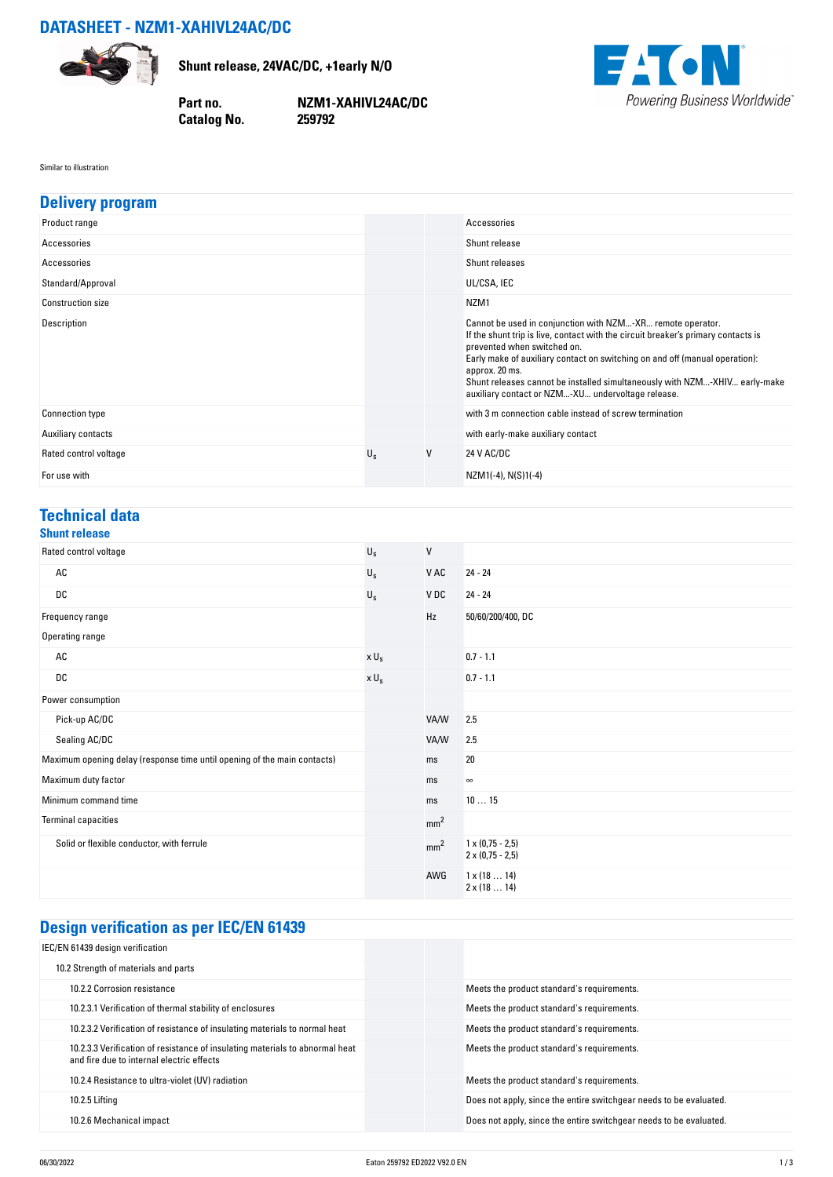# **DATASHEET - NZM1-XAHIVL24AC/DC**



**Shunt release, 24VAC/DC, +1early N/O**

**Catalog No.** 

**Part no. NZM1-XAHIVL24AC/DC**



#### Similar to illustration

| <b>Delivery program</b>                                                  |                         |                 |                                                                                                                                                                                                                                                                                                                                                                                                                    |
|--------------------------------------------------------------------------|-------------------------|-----------------|--------------------------------------------------------------------------------------------------------------------------------------------------------------------------------------------------------------------------------------------------------------------------------------------------------------------------------------------------------------------------------------------------------------------|
| Product range                                                            |                         |                 | Accessories                                                                                                                                                                                                                                                                                                                                                                                                        |
| Accessories                                                              |                         |                 | Shunt release                                                                                                                                                                                                                                                                                                                                                                                                      |
| Accessories                                                              |                         |                 | Shunt releases                                                                                                                                                                                                                                                                                                                                                                                                     |
| Standard/Approval                                                        |                         |                 | UL/CSA, IEC                                                                                                                                                                                                                                                                                                                                                                                                        |
| Construction size                                                        |                         |                 | NZM1                                                                                                                                                                                                                                                                                                                                                                                                               |
| Description                                                              |                         |                 | Cannot be used in conjunction with NZM-XR remote operator.<br>If the shunt trip is live, contact with the circuit breaker's primary contacts is<br>prevented when switched on.<br>Early make of auxiliary contact on switching on and off (manual operation):<br>approx. 20 ms.<br>Shunt releases cannot be installed simultaneously with NZM-XHIV early-make<br>auxiliary contact or NZM-XU undervoltage release. |
| <b>Connection type</b>                                                   |                         |                 | with 3 m connection cable instead of screw termination                                                                                                                                                                                                                                                                                                                                                             |
| Auxiliary contacts                                                       |                         |                 | with early-make auxiliary contact                                                                                                                                                                                                                                                                                                                                                                                  |
| Rated control voltage                                                    | $\mathsf{U}_\mathsf{S}$ | V               | 24 V AC/DC                                                                                                                                                                                                                                                                                                                                                                                                         |
| For use with                                                             |                         |                 | NZM1(-4), N(S)1(-4)                                                                                                                                                                                                                                                                                                                                                                                                |
|                                                                          |                         |                 |                                                                                                                                                                                                                                                                                                                                                                                                                    |
| <b>Technical data</b><br><b>Shunt release</b>                            |                         |                 |                                                                                                                                                                                                                                                                                                                                                                                                                    |
| Rated control voltage                                                    | $U_{\rm S}$             | V               |                                                                                                                                                                                                                                                                                                                                                                                                                    |
| AC                                                                       | $U_{\rm s}$             | V AC            | $24 - 24$                                                                                                                                                                                                                                                                                                                                                                                                          |
| DC                                                                       | $U_{\rm S}$             | V DC            | $24 - 24$                                                                                                                                                                                                                                                                                                                                                                                                          |
| Frequency range                                                          |                         | Hz              | 50/60/200/400, DC                                                                                                                                                                                                                                                                                                                                                                                                  |
| Operating range                                                          |                         |                 |                                                                                                                                                                                                                                                                                                                                                                                                                    |
| AC                                                                       | $x U_s$                 |                 | $0.7 - 1.1$                                                                                                                                                                                                                                                                                                                                                                                                        |
| DC                                                                       | $x U_s$                 |                 | $0.7 - 1.1$                                                                                                                                                                                                                                                                                                                                                                                                        |
| Power consumption                                                        |                         |                 |                                                                                                                                                                                                                                                                                                                                                                                                                    |
| Pick-up AC/DC                                                            |                         | VA/W            | 2.5                                                                                                                                                                                                                                                                                                                                                                                                                |
| Sealing AC/DC                                                            |                         | VA/W            | 2.5                                                                                                                                                                                                                                                                                                                                                                                                                |
| Maximum opening delay (response time until opening of the main contacts) |                         | ms              | 20                                                                                                                                                                                                                                                                                                                                                                                                                 |
| Maximum duty factor                                                      |                         | ms              | $\infty$                                                                                                                                                                                                                                                                                                                                                                                                           |
| Minimum command time                                                     |                         | ms              | 1015                                                                                                                                                                                                                                                                                                                                                                                                               |
| <b>Terminal capacities</b>                                               |                         | mm <sup>2</sup> |                                                                                                                                                                                                                                                                                                                                                                                                                    |
| Solid or flexible conductor, with ferrule                                |                         | mm <sup>2</sup> | $1 \times (0.75 - 2.5)$<br>$2 \times (0.75 - 2.5)$                                                                                                                                                                                                                                                                                                                                                                 |
|                                                                          |                         | AWG             | $1 \times (1814)$                                                                                                                                                                                                                                                                                                                                                                                                  |

# **Design verification as per IEC/EN 61439**

| IEC/EN 61439 design verification                                                                                          |                                                                    |
|---------------------------------------------------------------------------------------------------------------------------|--------------------------------------------------------------------|
| 10.2 Strength of materials and parts                                                                                      |                                                                    |
| 10.2.2 Corrosion resistance                                                                                               | Meets the product standard's requirements.                         |
| 10.2.3.1 Verification of thermal stability of enclosures                                                                  | Meets the product standard's requirements.                         |
| 10.2.3.2 Verification of resistance of insulating materials to normal heat                                                | Meets the product standard's requirements.                         |
| 10.2.3.3 Verification of resistance of insulating materials to abnormal heat<br>and fire due to internal electric effects | Meets the product standard's requirements.                         |
| 10.2.4 Resistance to ultra-violet (UV) radiation                                                                          | Meets the product standard's requirements.                         |
| 10.2.5 Liftina                                                                                                            | Does not apply, since the entire switchgear needs to be evaluated. |
| 10.2.6 Mechanical impact                                                                                                  | Does not apply, since the entire switchgear needs to be evaluated. |

2 x (18 … 14)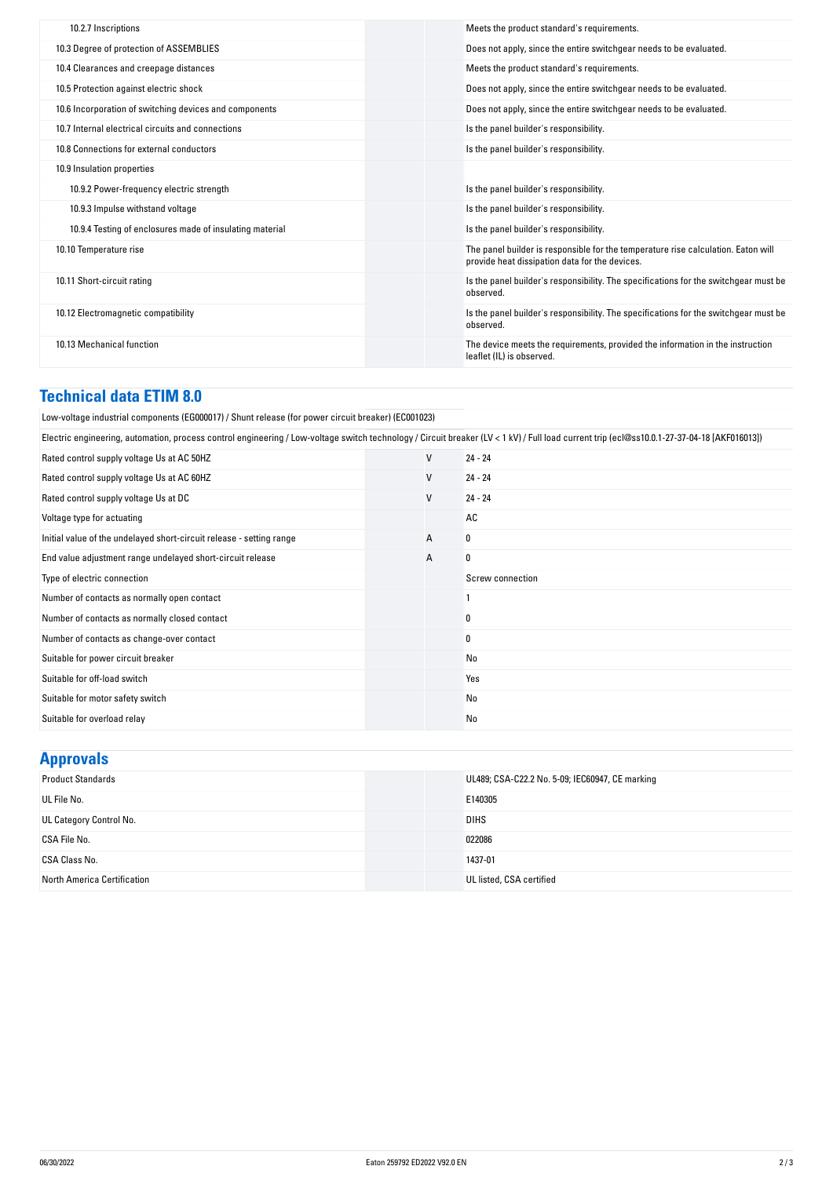| 10.2.7 Inscriptions                                      | Meets the product standard's requirements.                                                                                          |
|----------------------------------------------------------|-------------------------------------------------------------------------------------------------------------------------------------|
| 10.3 Degree of protection of ASSEMBLIES                  | Does not apply, since the entire switchgear needs to be evaluated.                                                                  |
| 10.4 Clearances and creepage distances                   | Meets the product standard's requirements.                                                                                          |
| 10.5 Protection against electric shock                   | Does not apply, since the entire switchgear needs to be evaluated.                                                                  |
| 10.6 Incorporation of switching devices and components   | Does not apply, since the entire switchgear needs to be evaluated.                                                                  |
| 10.7 Internal electrical circuits and connections        | Is the panel builder's responsibility.                                                                                              |
| 10.8 Connections for external conductors                 | Is the panel builder's responsibility.                                                                                              |
| 10.9 Insulation properties                               |                                                                                                                                     |
| 10.9.2 Power-frequency electric strength                 | Is the panel builder's responsibility.                                                                                              |
| 10.9.3 Impulse withstand voltage                         | Is the panel builder's responsibility.                                                                                              |
| 10.9.4 Testing of enclosures made of insulating material | Is the panel builder's responsibility.                                                                                              |
| 10.10 Temperature rise                                   | The panel builder is responsible for the temperature rise calculation. Eaton will<br>provide heat dissipation data for the devices. |
| 10.11 Short-circuit rating                               | Is the panel builder's responsibility. The specifications for the switchgear must be<br>observed.                                   |
| 10.12 Electromagnetic compatibility                      | Is the panel builder's responsibility. The specifications for the switchgear must be<br>observed.                                   |
| 10.13 Mechanical function                                | The device meets the requirements, provided the information in the instruction<br>leaflet (IL) is observed.                         |
|                                                          |                                                                                                                                     |

### **Technical data ETIM 8.0**

| Low-voltage industrial components (EG000017) / Shunt release (for power circuit breaker) (EC001023)                                                                                         |                  |  |  |  |
|---------------------------------------------------------------------------------------------------------------------------------------------------------------------------------------------|------------------|--|--|--|
| Electric engineering, automation, process control engineering / Low-voltage switch technology / Circuit breaker (LV < 1 kV) / Full load current trip (ecl@ss10.0.1-27-37-04-18 [AKF016013]) |                  |  |  |  |
| V                                                                                                                                                                                           | $24 - 24$        |  |  |  |
| $\mathsf{V}$                                                                                                                                                                                | $24 - 24$        |  |  |  |
| V                                                                                                                                                                                           | $24 - 24$        |  |  |  |
|                                                                                                                                                                                             | AC               |  |  |  |
| А                                                                                                                                                                                           | 0                |  |  |  |
| A                                                                                                                                                                                           | 0                |  |  |  |
|                                                                                                                                                                                             | Screw connection |  |  |  |
|                                                                                                                                                                                             |                  |  |  |  |
|                                                                                                                                                                                             | 0                |  |  |  |
|                                                                                                                                                                                             | 0                |  |  |  |
|                                                                                                                                                                                             | No               |  |  |  |
|                                                                                                                                                                                             | Yes              |  |  |  |
|                                                                                                                                                                                             | No               |  |  |  |
|                                                                                                                                                                                             | No               |  |  |  |
|                                                                                                                                                                                             |                  |  |  |  |

## **Approvals**

| .                           |                                                 |
|-----------------------------|-------------------------------------------------|
| <b>Product Standards</b>    | UL489; CSA-C22.2 No. 5-09; IEC60947, CE marking |
| UL File No.                 | E140305                                         |
| UL Category Control No.     | <b>DIHS</b>                                     |
| CSA File No.                | 022086                                          |
| CSA Class No.               | 1437-01                                         |
| North America Certification | UL listed, CSA certified                        |